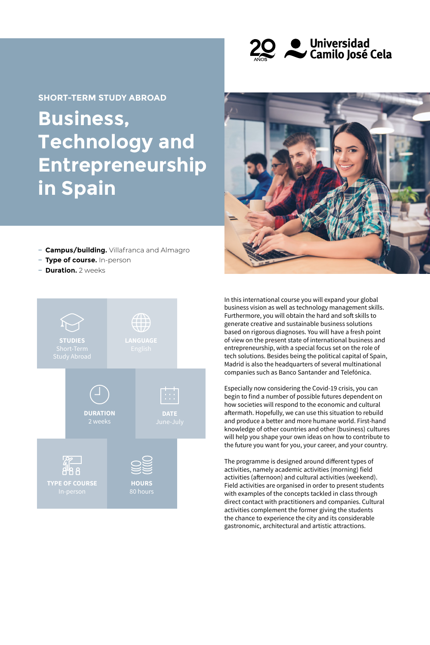

**Business, Technology and Entrepreneurship in Spain SHORT-TERM STUDY ABROAD**



- **− Campus/building.** Villafranca and Almagro
- **− Type of course.** In-person
- **− Duration.** 2 weeks



In this international course you will expand your global business vision as well as technology management skills. Furthermore, you will obtain the hard and soft skills to generate creative and sustainable business solutions based on rigorous diagnoses. You will have a fresh point of view on the present state of international business and entrepreneurship, with a special focus set on the role of tech solutions. Besides being the political capital of Spain, Madrid is also the headquarters of several multinational companies such as Banco Santander and Telefónica.

Especially now considering the Covid-19 crisis, you can begin to find a number of possible futures dependent on how societies will respond to the economic and cultural aftermath. Hopefully, we can use this situation to rebuild and produce a better and more humane world. First-hand knowledge of other countries and other (business) cultures will help you shape your own ideas on how to contribute to the future you want for you, your career, and your country.

The programme is designed around different types of activities, namely academic activities (morning) field activities (afternoon) and cultural activities (weekend). Field activities are organised in order to present students with examples of the concepts tackled in class through direct contact with practitioners and companies. Cultural activities complement the former giving the students the chance to experience the city and its considerable gastronomic, architectural and artistic attractions.